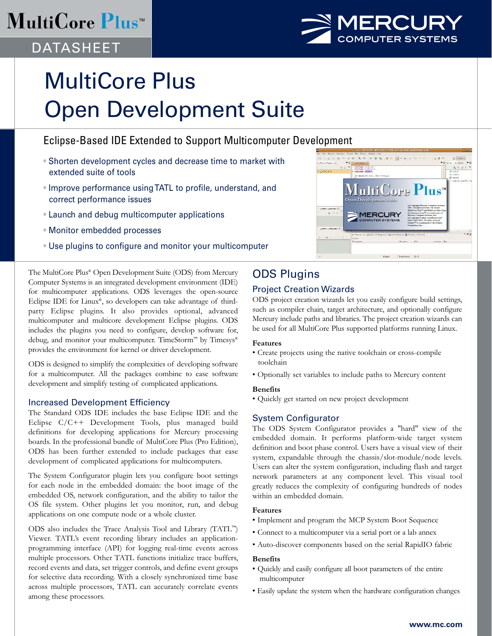## **MultiCore Plus<sup>™</sup>**



## DATASHEET

# MultiCore Plus Open Development Suite

### Eclipse-Based IDE Extended to Support Multicomputer Development

- Shorten development cycles and decrease time to market with extended suite of tools
- Improve performance using TATL to profile, understand, and correct performance issues
- Launch and debug multicomputer applications
- Monitor embedded processes
- Use plugins to configure and monitor your multicomputer

The MultiCore Plus® Open Development Suite (ODS) from Mercury Computer Systems is an integrated development environment (IDE) for multicomputer applications. ODS leverages the open-source Eclipse IDE for Linux®, so developers can take advantage of thirdparty Eclipse plugins. It also provides optional, advanced multicomputer and multicore development Eclipse plugins. ODS includes the plugins you need to configure, develop software for, debug, and monitor your multicomputer. TimeStorm™ by Timesys® provides the environment for kernel or driver development.

ODS is designed to simplify the complexities of developing software for a multicomputer. All the packages combine to ease software development and simplify testing of complicated applications.

#### Increased Development Efficiency

The Standard ODS IDE includes the base Eclipse IDE and the Eclipse C/C++ Development Tools, plus managed build definitions for developing applications for Mercury processing boards. In the professional bundle of MultiCore Plus (Pro Edition), ODS has been further extended to include packages that ease development of complicated applications for multicomputers.

The System Configurator plugin lets you configure boot settings for each node in the embedded domain: the boot image of the embedded OS, network configuration, and the ability to tailor the OS file system. Other plugins let you monitor, run, and debug applications on one compute node or a whole cluster.

ODS also includes the Trace Analysis Tool and Library (TATL™) Viewer. TATL's event recording library includes an applicationprogramming interface (API) for logging real-time events across multiple processors. Other TATL functions initialize trace buffers, record events and data, set trigger controls, and define event groups for selective data recording. With a closely synchronized time base across multiple processors, TATL can accurately correlate events among these processors.



## ODS Plugins

#### Project Creation Wizards

ODS project creation wizards let you easily configure build settings, such as compiler chain, target architecture, and optionally configure Mercury include paths and libraries. The project creation wizards can be used for all MultiCore Plus supported platforms running Linux.

#### **Features**

- Create projects using the native toolchain or cross-compile toolchain
- Optionally set variables to include paths to Mercury content

#### **Benefits**

• Quickly get started on new project development

#### System Configurator

The ODS System Configurator provides a "hard" view of the embedded domain. It performs platform-wide target system definition and boot phase control. Users have a visual view of their system, expandable through the chassis/slot-module/node levels. Users can alter the system configuration, including flash and target network parameters at any component level. This visual tool greatly reduces the complexity of configuring hundreds of nodes within an embedded domain.

#### **Features**

- Implement and program the MCP System Boot Sequence
- Connect to a multicomputer via a serial port or a lab annex
- Auto-discover components based on the serial RapidIO fabric

#### **Benefits**

- Quickly and easily configure all boot parameters of the entire multicomputer
- Easily update the system when the hardware configuration changes